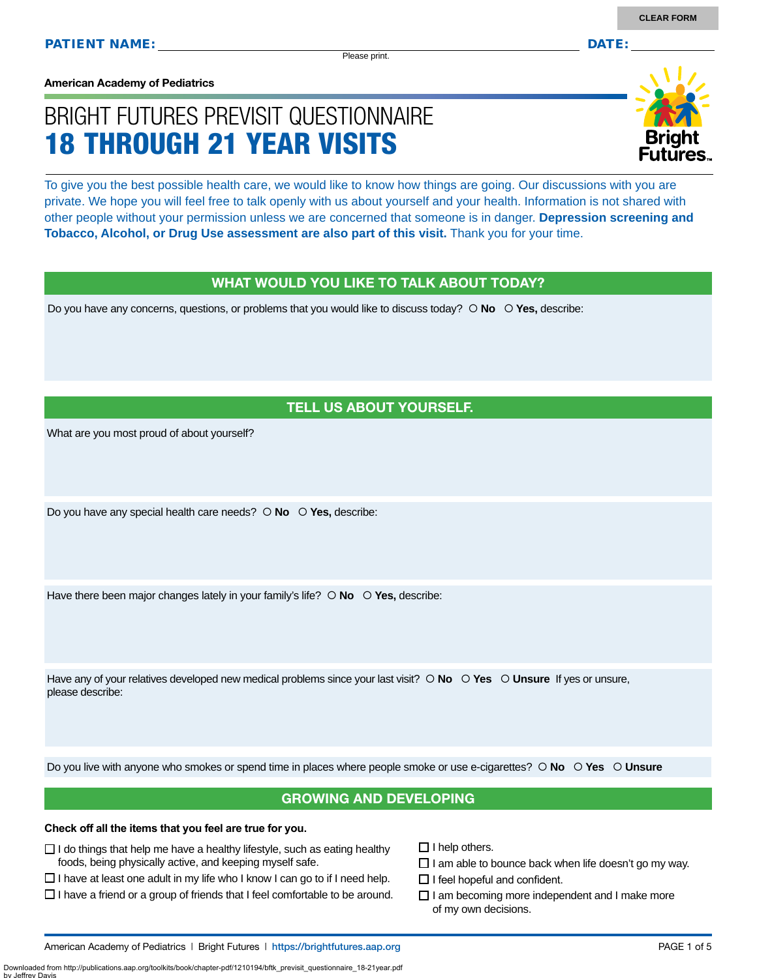#### **American Academy of Pediatrics**

# BRIGHT FUTURES PREVISIT QUESTIONNAIRE 18 THROUGH 21 YEAR VISITS

To give you the best possible health care, we would like to know how things are going. Our discussions with you are private. We hope you will feel free to talk openly with us about yourself and your health. Information is not shared with other people without your permission unless we are concerned that someone is in danger. **Depression screening and Tobacco, Alcohol, or Drug Use assessment are also part of this visit.** Thank you for your time.

#### WHAT WOULD YOU LIKE TO TALK ABOUT TODAY?

Do you have any concerns, questions, or problems that you would like to discuss today?  $\circ$  **No**  $\circ$  **Yes**, describe:

#### TELL US ABOUT YOURSELF.

What are you most proud of about yourself?

Do you have any special health care needs?  **No Yes,** describe:

Have there been major changes lately in your family's life?  $\circ$  **No**  $\circ$  **Yes**, describe:

Have any of your relatives developed new medical problems since your last visit?  $\circ$  **No**  $\circ$  **Yes**  $\circ$  **Unsure** If yes or unsure, please describe:

Do you live with anyone who smokes or spend time in places where people smoke or use e-cigarettes?  **No Yes Unsure**

#### GROWING AND DEVELOPING

#### **Check off all the items that you feel are true for you.**

by Jeffrey Davis

- $\Box$  I do things that help me have a healthy lifestyle, such as eating healthy foods, being physically active, and keeping myself safe.
- $\Box$  I have at least one adult in my life who I know I can go to if I need help.
- $\square$  I have a friend or a group of friends that I feel comfortable to be around.

 $\Box$  I help others.

- $\Box$  I am able to bounce back when life doesn't go my way.
- $\Box$  I feel hopeful and confident.
- $\Box$  I am becoming more independent and I make more of my own decisions.

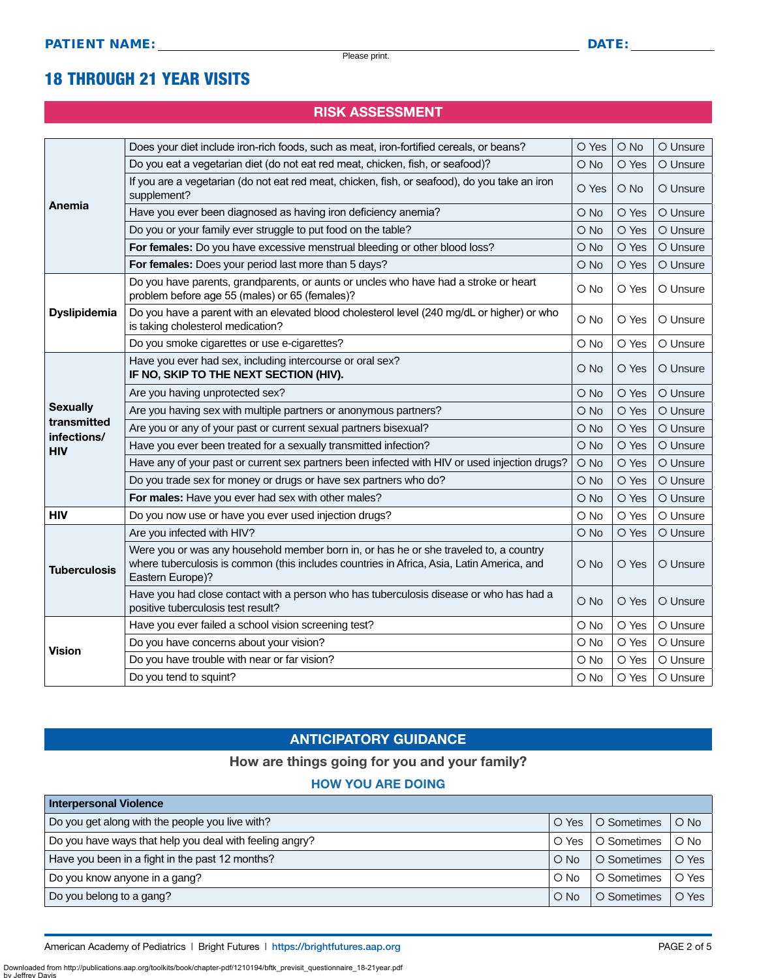### 18 THROUGH 21 YEAR VISITS

#### RISK ASSESSMENT

|                            | Does your diet include iron-rich foods, such as meat, iron-fortified cereals, or beans?                                                                                                                | O Yes         | $O$ No | O Unsure |
|----------------------------|--------------------------------------------------------------------------------------------------------------------------------------------------------------------------------------------------------|---------------|--------|----------|
|                            | Do you eat a vegetarian diet (do not eat red meat, chicken, fish, or seafood)?                                                                                                                         | O No          | O Yes  | O Unsure |
|                            | If you are a vegetarian (do not eat red meat, chicken, fish, or seafood), do you take an iron<br>supplement?                                                                                           | O Yes         | $O$ No | O Unsure |
| Anemia                     | Have you ever been diagnosed as having iron deficiency anemia?                                                                                                                                         | O No          | O Yes  | O Unsure |
|                            | Do you or your family ever struggle to put food on the table?                                                                                                                                          | O No          | O Yes  | O Unsure |
|                            | For females: Do you have excessive menstrual bleeding or other blood loss?                                                                                                                             | O No          | O Yes  | O Unsure |
|                            | For females: Does your period last more than 5 days?                                                                                                                                                   | O No          | O Yes  | O Unsure |
|                            | Do you have parents, grandparents, or aunts or uncles who have had a stroke or heart<br>problem before age 55 (males) or 65 (females)?                                                                 | O No          | O Yes  | O Unsure |
| <b>Dyslipidemia</b>        | Do you have a parent with an elevated blood cholesterol level (240 mg/dL or higher) or who<br>is taking cholesterol medication?                                                                        | O No          | O Yes  | O Unsure |
|                            | Do you smoke cigarettes or use e-cigarettes?                                                                                                                                                           | O No          | O Yes  | O Unsure |
|                            | Have you ever had sex, including intercourse or oral sex?<br>IF NO, SKIP TO THE NEXT SECTION (HIV).                                                                                                    | O No          | O Yes  | O Unsure |
|                            | Are you having unprotected sex?                                                                                                                                                                        | O No          | O Yes  | O Unsure |
| <b>Sexually</b>            | Are you having sex with multiple partners or anonymous partners?                                                                                                                                       | O No          | O Yes  | O Unsure |
| transmitted<br>infections/ | Are you or any of your past or current sexual partners bisexual?                                                                                                                                       | $\bigcirc$ No | O Yes  | O Unsure |
| <b>HIV</b>                 | Have you ever been treated for a sexually transmitted infection?                                                                                                                                       | O No          | O Yes  | O Unsure |
|                            | Have any of your past or current sex partners been infected with HIV or used injection drugs?                                                                                                          | O No          | O Yes  | O Unsure |
|                            | Do you trade sex for money or drugs or have sex partners who do?                                                                                                                                       | O No          | O Yes  | O Unsure |
|                            | For males: Have you ever had sex with other males?                                                                                                                                                     | O No          | O Yes  | O Unsure |
| <b>HIV</b>                 | Do you now use or have you ever used injection drugs?                                                                                                                                                  | O No          | O Yes  | O Unsure |
|                            | Are you infected with HIV?                                                                                                                                                                             | O No          | O Yes  | O Unsure |
| <b>Tuberculosis</b>        | Were you or was any household member born in, or has he or she traveled to, a country<br>where tuberculosis is common (this includes countries in Africa, Asia, Latin America, and<br>Eastern Europe)? | O No          | O Yes  | O Unsure |
|                            | Have you had close contact with a person who has tuberculosis disease or who has had a<br>positive tuberculosis test result?                                                                           | O No          | O Yes  | O Unsure |
|                            | Have you ever failed a school vision screening test?                                                                                                                                                   | O No          | O Yes  | O Unsure |
| <b>Vision</b>              | Do you have concerns about your vision?                                                                                                                                                                | O No          | O Yes  | O Unsure |
|                            | Do you have trouble with near or far vision?                                                                                                                                                           | O No          | O Yes  | O Unsure |
|                            | Do you tend to squint?                                                                                                                                                                                 | O No          | O Yes  | O Unsure |

#### ANTICIPATORY GUIDANCE

#### How are things going for you and your family?

#### HOW YOU ARE DOING

| <b>Interpersonal Violence</b>                           |               |             |        |
|---------------------------------------------------------|---------------|-------------|--------|
| Do you get along with the people you live with?         | O Yes         | O Sometimes | $O$ No |
| Do you have ways that help you deal with feeling angry? | O Yes         | O Sometimes | $O$ No |
| Have you been in a fight in the past 12 months?         | $O$ No        | O Sometimes | O Yes  |
| Do you know anyone in a gang?                           | $\bigcirc$ No | O Sometimes | O Yes  |
| Do you belong to a gang?                                | $\circ$ No    | O Sometimes | O Yes  |

Downloaded from http://publications.aap.org/toolkits/book/chapter-pdf/1210194/bftk\_previsit\_questionnaire\_18-21year.pdf by Jeffrey I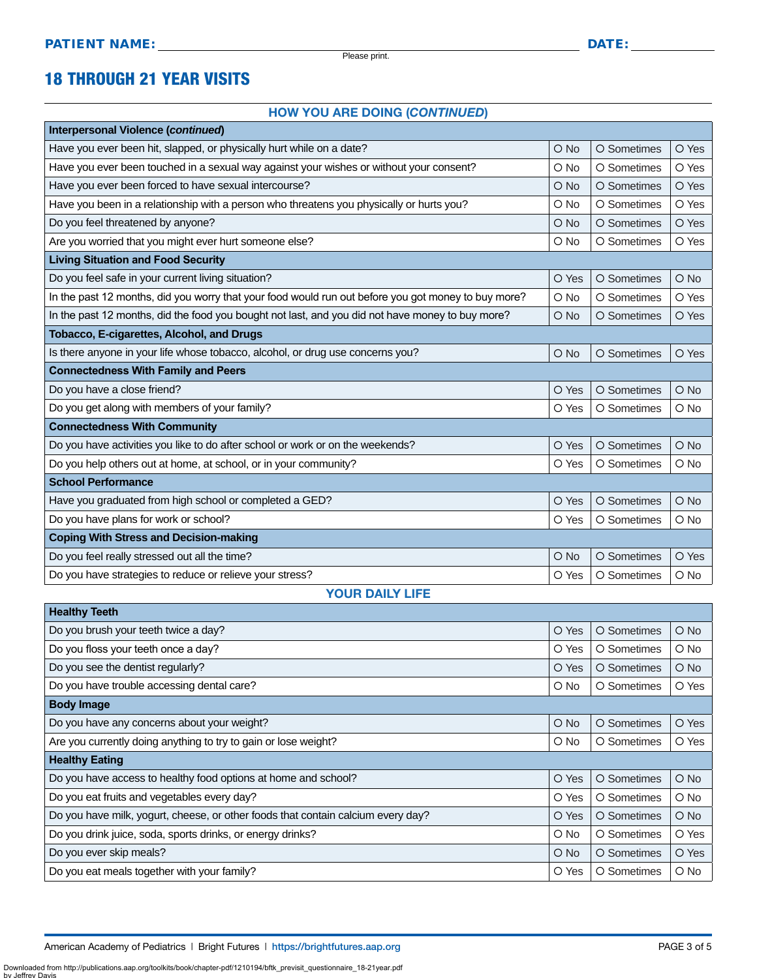### 18 THROUGH 21 YEAR VISITS

#### HOW YOU ARE DOING (*CONTINUED*)

| Interpersonal Violence (continued)                                                                  |               |             |        |
|-----------------------------------------------------------------------------------------------------|---------------|-------------|--------|
| Have you ever been hit, slapped, or physically hurt while on a date?                                | $\bigcirc$ No | O Sometimes | O Yes  |
| Have you ever been touched in a sexual way against your wishes or without your consent?             | O No          | O Sometimes | O Yes  |
| Have you ever been forced to have sexual intercourse?                                               | $O$ No        | O Sometimes | O Yes  |
| Have you been in a relationship with a person who threatens you physically or hurts you?            | O No          | O Sometimes | O Yes  |
| Do you feel threatened by anyone?                                                                   | $O$ No        | O Sometimes | O Yes  |
| Are you worried that you might ever hurt someone else?                                              | O No          | O Sometimes | O Yes  |
| <b>Living Situation and Food Security</b>                                                           |               |             |        |
| Do you feel safe in your current living situation?                                                  | O Yes         | O Sometimes | $O$ No |
| In the past 12 months, did you worry that your food would run out before you got money to buy more? | O No          | O Sometimes | O Yes  |
| In the past 12 months, did the food you bought not last, and you did not have money to buy more?    | $O$ No        | O Sometimes | O Yes  |
| Tobacco, E-cigarettes, Alcohol, and Drugs                                                           |               |             |        |
| Is there anyone in your life whose tobacco, alcohol, or drug use concerns you?                      | $O$ No        | O Sometimes | O Yes  |
| <b>Connectedness With Family and Peers</b>                                                          |               |             |        |
| Do you have a close friend?                                                                         | O Yes         | O Sometimes | O No   |
| Do you get along with members of your family?                                                       | O Yes         | O Sometimes | O No   |
| <b>Connectedness With Community</b>                                                                 |               |             |        |
| Do you have activities you like to do after school or work or on the weekends?                      | O Yes         | O Sometimes | $O$ No |
| Do you help others out at home, at school, or in your community?                                    | O Yes         | O Sometimes | O No   |
| <b>School Performance</b>                                                                           |               |             |        |
| Have you graduated from high school or completed a GED?                                             | O Yes         | O Sometimes | $O$ No |
| Do you have plans for work or school?                                                               | O Yes         | O Sometimes | O No   |
| <b>Coping With Stress and Decision-making</b>                                                       |               |             |        |
| Do you feel really stressed out all the time?                                                       | O No          | O Sometimes | O Yes  |
| Do you have strategies to reduce or relieve your stress?                                            | O Yes         | O Sometimes | O No   |
| VOLID BAILV LIFE                                                                                    |               |             |        |

#### YOUR DAILY LIFE

| <b>Healthy Teeth</b>                                                             |               |             |               |  |
|----------------------------------------------------------------------------------|---------------|-------------|---------------|--|
| Do you brush your teeth twice a day?                                             | O Yes         | O Sometimes | $\bigcirc$ No |  |
| Do you floss your teeth once a day?                                              | O Yes         | O Sometimes | O No          |  |
| Do you see the dentist regularly?                                                | O Yes         | O Sometimes | $\bigcirc$ No |  |
| Do you have trouble accessing dental care?                                       | O No          | O Sometimes | O Yes         |  |
| <b>Body Image</b>                                                                |               |             |               |  |
| Do you have any concerns about your weight?                                      | $\bigcirc$ No | O Sometimes | O Yes         |  |
| Are you currently doing anything to try to gain or lose weight?                  | O No          | O Sometimes | O Yes         |  |
| <b>Healthy Eating</b>                                                            |               |             |               |  |
| Do you have access to healthy food options at home and school?                   | O Yes         | O Sometimes | $\bigcirc$ No |  |
| Do you eat fruits and vegetables every day?                                      | O Yes         | O Sometimes | $\circ$ No    |  |
| Do you have milk, yogurt, cheese, or other foods that contain calcium every day? | O Yes         | O Sometimes | $\bigcirc$ No |  |
| Do you drink juice, soda, sports drinks, or energy drinks?                       | $\circ$ No    | O Sometimes | O Yes         |  |
| Do you ever skip meals?                                                          | $\bigcirc$ No | O Sometimes | O Yes         |  |
| Do you eat meals together with your family?                                      | O Yes         | O Sometimes | $\circ$ No    |  |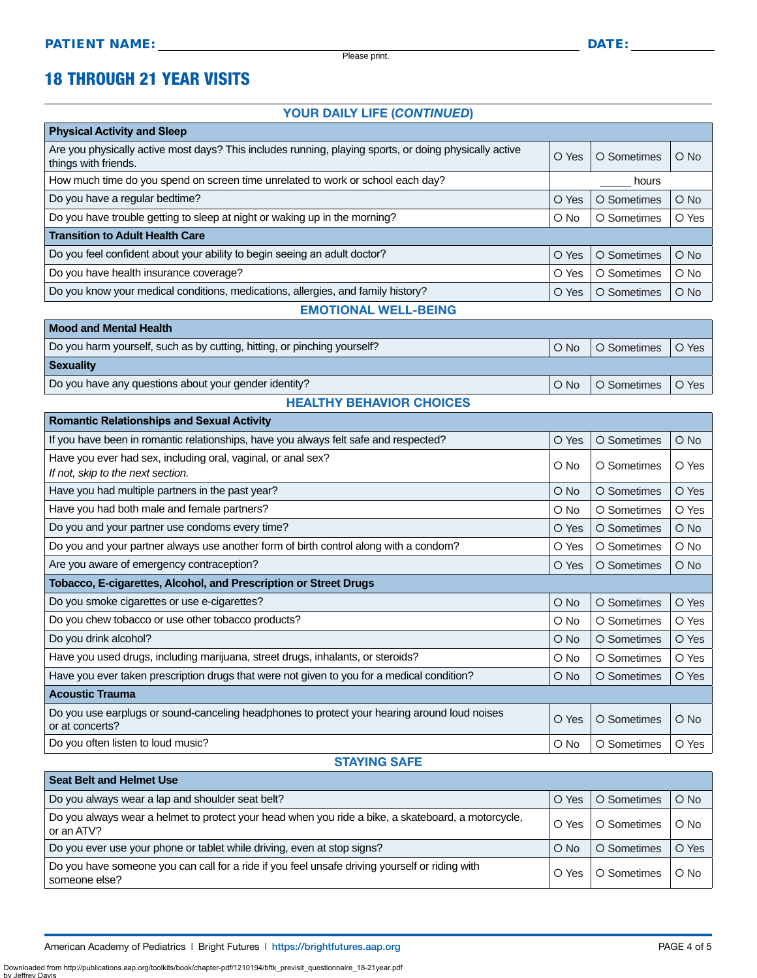### 18 THROUGH 21 YEAR VISITS

#### YOUR DAILY LIFE (*CONTINUED*)

| <b>Physical Activity and Sleep</b>                                                                                             |        |             |        |
|--------------------------------------------------------------------------------------------------------------------------------|--------|-------------|--------|
| Are you physically active most days? This includes running, playing sports, or doing physically active<br>things with friends. | O Yes  | O Sometimes | $O$ No |
| How much time do you spend on screen time unrelated to work or school each day?                                                | hours  |             |        |
| Do you have a regular bedtime?                                                                                                 | O Yes  | O Sometimes | $O$ No |
| Do you have trouble getting to sleep at night or waking up in the morning?                                                     | $O$ No | O Sometimes | O Yes  |
| <b>Transition to Adult Health Care</b>                                                                                         |        |             |        |
| Do you feel confident about your ability to begin seeing an adult doctor?                                                      | O Yes  | O Sometimes | $O$ No |
| Do you have health insurance coverage?                                                                                         | O Yes  | O Sometimes | $O$ No |
| Do you know your medical conditions, medications, allergies, and family history?                                               | O Yes  | O Sometimes | $O$ No |
| <b>EMOTIONAL WELL-BEING</b>                                                                                                    |        |             |        |

| <b>Mood and Mental Health</b>                                            |               |                            |  |  |
|--------------------------------------------------------------------------|---------------|----------------------------|--|--|
| Do you harm yourself, such as by cutting, hitting, or pinching yourself? | $\bigcirc$ No | O Sometimes   O Yes        |  |  |
| <b>Sexuality</b>                                                         |               |                            |  |  |
| Do you have any questions about your gender identity?                    |               | O No   O Sometimes   O Yes |  |  |
| <b>HEALTHY BEHAVIOR CHOICES</b>                                          |               |                            |  |  |

| <b>Romantic Relationships and Sexual Activity</b>                                                               |               |             |               |  |  |
|-----------------------------------------------------------------------------------------------------------------|---------------|-------------|---------------|--|--|
| If you have been in romantic relationships, have you always felt safe and respected?                            | O Yes         | O Sometimes | $O$ No        |  |  |
| Have you ever had sex, including oral, vaginal, or anal sex?                                                    | O No          | O Sometimes | O Yes         |  |  |
| If not, skip to the next section.                                                                               |               |             |               |  |  |
| Have you had multiple partners in the past year?                                                                | $\bigcirc$ No | O Sometimes | O Yes         |  |  |
| Have you had both male and female partners?                                                                     | O No          | O Sometimes | O Yes         |  |  |
| Do you and your partner use condoms every time?                                                                 | O Yes         | O Sometimes | $\bigcirc$ No |  |  |
| Do you and your partner always use another form of birth control along with a condom?                           | O Yes         | O Sometimes | O No          |  |  |
| Are you aware of emergency contraception?                                                                       | O Yes         | O Sometimes | O No          |  |  |
| Tobacco, E-cigarettes, Alcohol, and Prescription or Street Drugs                                                |               |             |               |  |  |
| Do you smoke cigarettes or use e-cigarettes?                                                                    | O No          | O Sometimes | O Yes         |  |  |
| Do you chew tobacco or use other tobacco products?                                                              | O No          | O Sometimes | O Yes         |  |  |
| Do you drink alcohol?                                                                                           | $\bigcirc$ No | O Sometimes | O Yes         |  |  |
| Have you used drugs, including marijuana, street drugs, inhalants, or steroids?                                 | O No          | O Sometimes | O Yes         |  |  |
| Have you ever taken prescription drugs that were not given to you for a medical condition?                      | $\bigcirc$ No | O Sometimes | O Yes         |  |  |
| <b>Acoustic Trauma</b>                                                                                          |               |             |               |  |  |
| Do you use earplugs or sound-canceling headphones to protect your hearing around loud noises<br>or at concerts? | O Yes         | O Sometimes | $\bigcirc$ No |  |  |
| Do you often listen to loud music?                                                                              | O No          | O Sometimes | O Yes         |  |  |

#### STAYING SAFE

| <b>Seat Belt and Helmet Use</b>                                                                                  |               |             |        |  |  |
|------------------------------------------------------------------------------------------------------------------|---------------|-------------|--------|--|--|
| Do you always wear a lap and shoulder seat belt?                                                                 | O Yes         | O Sometimes | $O$ No |  |  |
| Do you always wear a helmet to protect your head when you ride a bike, a skateboard, a motorcycle,<br>or an ATV? | O Yes         | O Sometimes | $O$ No |  |  |
| Do you ever use your phone or tablet while driving, even at stop signs?                                          | $\bigcirc$ No | O Sometimes | O Yes  |  |  |
| Do you have someone you can call for a ride if you feel unsafe driving yourself or riding with<br>someone else?  | O Yes         | O Sometimes | $O$ No |  |  |